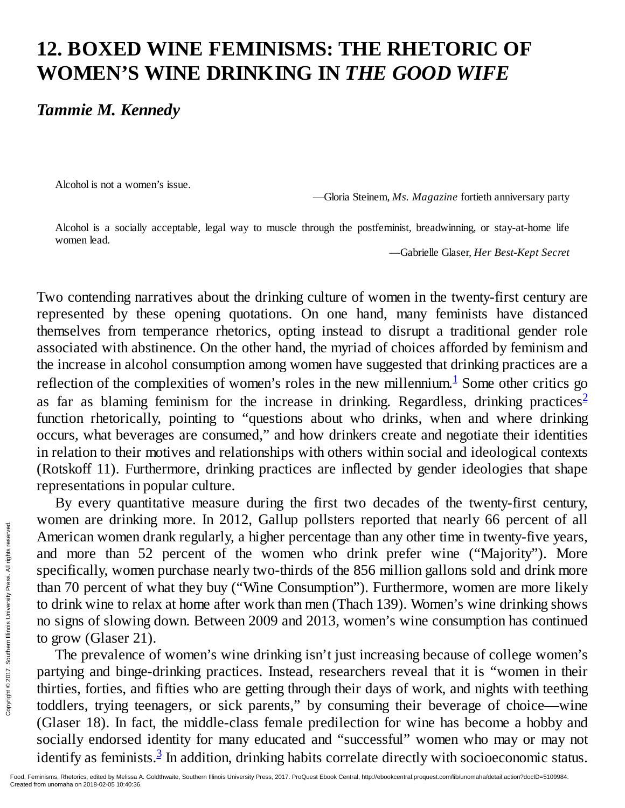# **12. BOXED WINE FEMINISMS: THE RHETORIC OF WOMEN'S WINE DRINKING IN** *THE GOOD WIFE*

*Tammie M. Kennedy*

Alcohol is not a women's issue.

—Gloria Steinem, *Ms. Magazine* fortieth anniversary party

Alcohol is a socially acceptable, legal way to muscle through the postfeminist, breadwinning, or stay-at-home life women lead.

<span id="page-0-1"></span><span id="page-0-0"></span>—Gabrielle Glaser, *Her Best-Kept Secret*

Two contending narratives about the drinking culture of women in the twenty-first century are represented by these opening quotations. On one hand, many feminists have distanced themselves from temperance rhetorics, opting instead to disrupt a traditional gender role associated with abstinence. On the other hand, the myriad of choices afforded by feminism and the increase in alcohol consumption among women have suggested that drinking practices are a reflection of the complexities of women's roles in the new millennium.<sup>[1](#page-8-0)</sup> Some other critics go as far as blaming feminism for the increase in drinking. Regardless, drinking practices<sup>[2](#page-9-0)</sup> function rhetorically, pointing to "questions about who drinks, when and where drinking occurs, what beverages are consumed," and how drinkers create and negotiate their identities in relation to their motives and relationships with others within social and ideological contexts (Rotskoff 11). Furthermore, drinking practices are inflected by gender ideologies that shape representations in popular culture.

By every quantitative measure during the first two decades of the twenty-first century, women are drinking more. In 2012, Gallup pollsters reported that nearly 66 percent of all American women drank regularly, a higher percentage than any other time in twenty-five years, and more than 52 percent of the women who drink prefer wine ("Majority"). More specifically, women purchase nearly two-thirds of the 856 million gallons sold and drink more than 70 percent of what they buy ("Wine Consumption"). Furthermore, women are more likely to drink wine to relax at home after work than men (Thach 139). Women's wine drinking shows no signs of slowing down. Between 2009 and 2013, women's wine consumption has continued to grow (Glaser 21). Worker are drinks<br>
American women<br>
and more than <sup>5</sup><br>
specifically, wom<br>
than 70 percent of<br>
to drink wine to re<br>
no signs of slowir<br>
to grow (Glaser 2<br>
The prevalence<br>
partying and bing<br>
thirties, forties, are<br>
partying

<span id="page-0-2"></span>The prevalence of women's wine drinking isn't just increasing because of college women's partying and binge-drinking practices. Instead, researchers reveal that it is "women in their thirties, forties, and fifties who are getting through their days of work, and nights with teething toddlers, trying teenagers, or sick parents," by consuming their beverage of choice—wine (Glaser 18). In fact, the middle-class female predilection for wine has become a hobby and socially endorsed identity for many educated and "successful" women who may or may not identify as feminists.<sup>[3](#page-9-1)</sup> In addition, drinking habits correlate directly with socioeconomic status.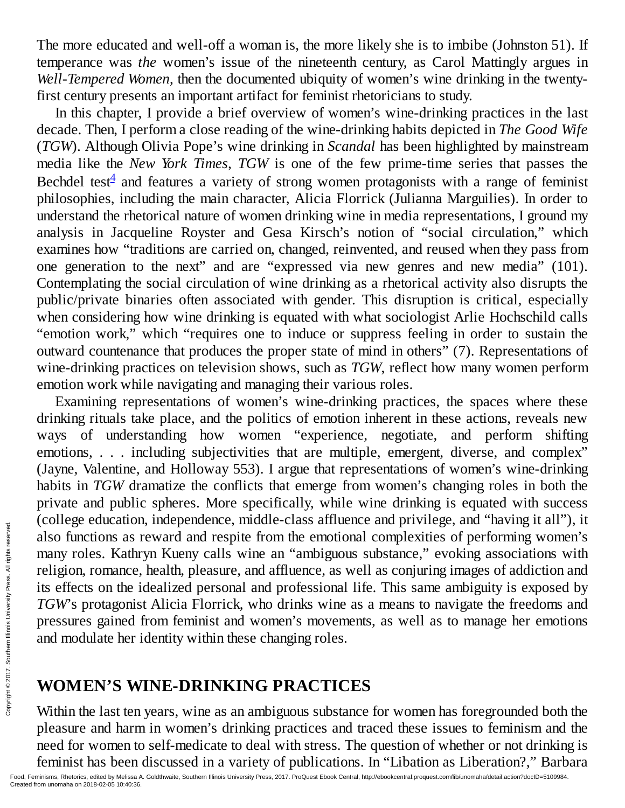The more educated and well-off a woman is, the more likely she is to imbibe (Johnston 51). If temperance was *the* women's issue of the nineteenth century, as Carol Mattingly argues in *Well-Tempered Women*, then the documented ubiquity of women's wine drinking in the twentyfirst century presents an important artifact for feminist rhetoricians to study.

<span id="page-1-0"></span>In this chapter, I provide a brief overview of women's wine-drinking practices in the last decade. Then, I perform a close reading of the wine-drinking habits depicted in *The Good Wife* (*TGW*). Although Olivia Pope's wine drinking in *Scandal* has been highlighted by mainstream media like the *New York Times, TGW* is one of the few prime-time series that passes the Bechdel test<sup>[4](#page-9-2)</sup> and features a variety of strong women protagonists with a range of feminist philosophies, including the main character, Alicia Florrick (Julianna Marguilies). In order to understand the rhetorical nature of women drinking wine in media representations, I ground my analysis in Jacqueline Royster and Gesa Kirsch's notion of "social circulation," which examines how "traditions are carried on, changed, reinvented, and reused when they pass from one generation to the next" and are "expressed via new genres and new media" (101). Contemplating the social circulation of wine drinking as a rhetorical activity also disrupts the public/private binaries often associated with gender. This disruption is critical, especially when considering how wine drinking is equated with what sociologist Arlie Hochschild calls "emotion work," which "requires one to induce or suppress feeling in order to sustain the outward countenance that produces the proper state of mind in others" (7). Representations of wine-drinking practices on television shows, such as *TGW*, reflect how many women perform emotion work while navigating and managing their various roles.

Examining representations of women's wine-drinking practices, the spaces where these drinking rituals take place, and the politics of emotion inherent in these actions, reveals new ways of understanding how women "experience, negotiate, and perform shifting emotions, . . . including subjectivities that are multiple, emergent, diverse, and complex" (Jayne, Valentine, and Holloway 553). I argue that representations of women's wine-drinking habits in *TGW* dramatize the conflicts that emerge from women's changing roles in both the private and public spheres. More specifically, while wine drinking is equated with success (college education, independence, middle-class affluence and privilege, and "having it all"), it also functions as reward and respite from the emotional complexities of performing women's many roles. Kathryn Kueny calls wine an "ambiguous substance," evoking associations with religion, romance, health, pleasure, and affluence, as well as conjuring images of addiction and its effects on the idealized personal and professional life. This same ambiguity is exposed by *TGW*'s protagonist Alicia Florrick, who drinks wine as a means to navigate the freedoms and pressures gained from feminist and women's movements, as well as to manage her emotions and modulate her identity within these changing roles. Example 12:00 Created from unomaha on 2018-02-05 10:40:36.<br>
Created from unomaha on 2018-02-05 10:40:36. Coreated from unomaha on 2018-02-05 10:40:36. Coreated from unomaha on 2018-02-05 10:40:36.

### **WOMEN'S WINE-DRINKING PRACTICES**

Within the last ten years, wine as an ambiguous substance for women has foregrounded both the pleasure and harm in women's drinking practices and traced these issues to feminism and the need for women to self-medicate to deal with stress. The question of whether or not drinking is feminist has been discussed in a variety of publications. In "Libation as Liberation?," Barbara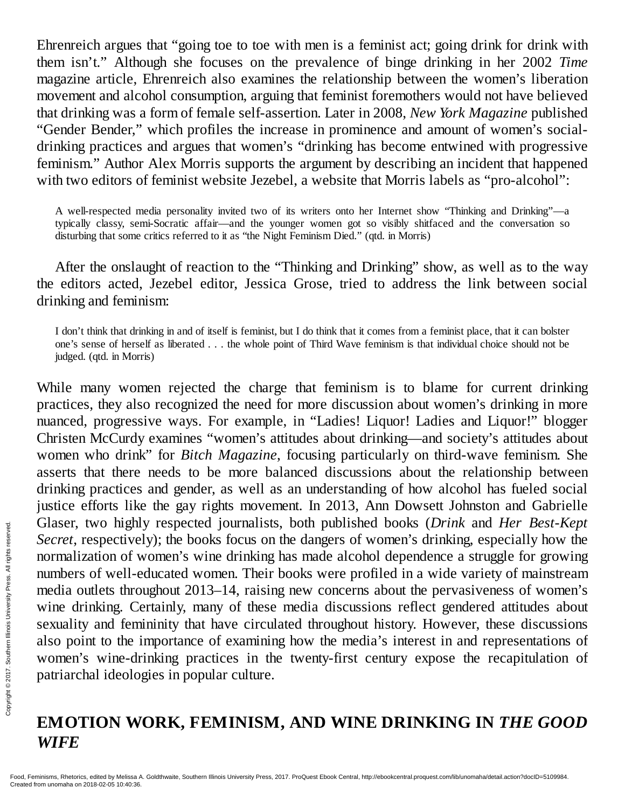Ehrenreich argues that "going toe to toe with men is a feminist act; going drink for drink with them isn't." Although she focuses on the prevalence of binge drinking in her 2002 *Time* magazine article, Ehrenreich also examines the relationship between the women's liberation movement and alcohol consumption, arguing that feminist foremothers would not have believed that drinking was a form of female self-assertion. Later in 2008, *New York Magazine* published "Gender Bender," which profiles the increase in prominence and amount of women's socialdrinking practices and argues that women's "drinking has become entwined with progressive feminism." Author Alex Morris supports the argument by describing an incident that happened with two editors of feminist website Jezebel, a website that Morris labels as "pro-alcohol":

A well-respected media personality invited two of its writers onto her Internet show "Thinking and Drinking"—a typically classy, semi-Socratic affair—and the younger women got so visibly shitfaced and the conversation so disturbing that some critics referred to it as "the Night Feminism Died." (qtd. in Morris)

After the onslaught of reaction to the "Thinking and Drinking" show, as well as to the way the editors acted, Jezebel editor, Jessica Grose, tried to address the link between social drinking and feminism:

I don't think that drinking in and of itself is feminist, but I do think that it comes from a feminist place, that it can bolster one's sense of herself as liberated . . . the whole point of Third Wave feminism is that individual choice should not be judged. (qtd. in Morris)

While many women rejected the charge that feminism is to blame for current drinking practices, they also recognized the need for more discussion about women's drinking in more nuanced, progressive ways. For example, in "Ladies! Liquor! Ladies and Liquor!" blogger Christen McCurdy examines "women's attitudes about drinking—and society's attitudes about women who drink" for *Bitch Magazine*, focusing particularly on third-wave feminism. She asserts that there needs to be more balanced discussions about the relationship between drinking practices and gender, as well as an understanding of how alcohol has fueled social justice efforts like the gay rights movement. In 2013, Ann Dowsett Johnston and Gabrielle Glaser, two highly respected journalists, both published books (*Drink* and *Her Best-Kept Secret*, respectively); the books focus on the dangers of women's drinking, especially how the normalization of women's wine drinking has made alcohol dependence a struggle for growing numbers of well-educated women. Their books were profiled in a wide variety of mainstream media outlets throughout 2013–14, raising new concerns about the pervasiveness of women's wine drinking. Certainly, many of these media discussions reflect gendered attitudes about sexuality and femininity that have circulated throughout history. However, these discussions also point to the importance of examining how the media's interest in and representations of women's wine-drinking practices in the twenty-first century expose the recapitulation of patriarchal ideologies in popular culture. Created from unomaha on 2018-02-05 10:40:36.<br>
Copyright Coreated from unomaha on 2018-02-05 10:40:36.<br>
Copyright Created from unomaha on 2018-02-05 10:40:36.<br>
Created from unomaha on 2018-02-05 10:40:36.<br>
Created from unom

## **EMOTION WORK, FEMINISM, AND WINE DRINKING IN** *THE GOOD WIFE*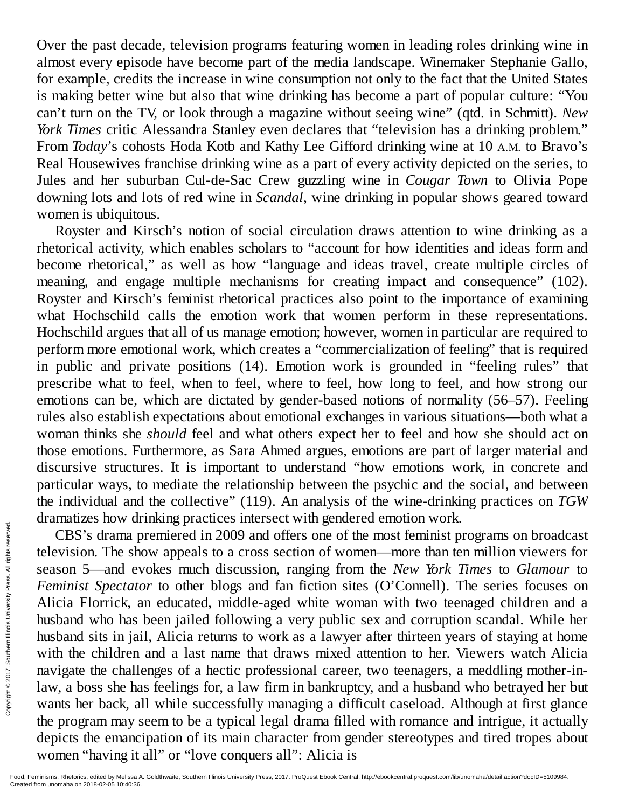Over the past decade, television programs featuring women in leading roles drinking wine in almost every episode have become part of the media landscape. Winemaker Stephanie Gallo, for example, credits the increase in wine consumption not only to the fact that the United States is making better wine but also that wine drinking has become a part of popular culture: "You can't turn on the TV, or look through a magazine without seeing wine" (qtd. in Schmitt). *New York Times* critic Alessandra Stanley even declares that "television has a drinking problem." From *Today*'s cohosts Hoda Kotb and Kathy Lee Gifford drinking wine at 10 A.M. to Bravo's Real Housewives franchise drinking wine as a part of every activity depicted on the series, to Jules and her suburban Cul-de-Sac Crew guzzling wine in *Cougar Town* to Olivia Pope downing lots and lots of red wine in *Scandal*, wine drinking in popular shows geared toward women is ubiquitous.

Royster and Kirsch's notion of social circulation draws attention to wine drinking as a rhetorical activity, which enables scholars to "account for how identities and ideas form and become rhetorical," as well as how "language and ideas travel, create multiple circles of meaning, and engage multiple mechanisms for creating impact and consequence" (102). Royster and Kirsch's feminist rhetorical practices also point to the importance of examining what Hochschild calls the emotion work that women perform in these representations. Hochschild argues that all of us manage emotion; however, women in particular are required to perform more emotional work, which creates a "commercialization of feeling" that is required in public and private positions (14). Emotion work is grounded in "feeling rules" that prescribe what to feel, when to feel, where to feel, how long to feel, and how strong our emotions can be, which are dictated by gender-based notions of normality (56–57). Feeling rules also establish expectations about emotional exchanges in various situations—both what a woman thinks she *should* feel and what others expect her to feel and how she should act on those emotions. Furthermore, as Sara Ahmed argues, emotions are part of larger material and discursive structures. It is important to understand "how emotions work, in concrete and particular ways, to mediate the relationship between the psychic and the social, and between the individual and the collective" (119). An analysis of the wine-drinking practices on *TGW* dramatizes how drinking practices intersect with gendered emotion work.

CBS's drama premiered in 2009 and offers one of the most feminist programs on broadcast television. The show appeals to a cross section of women—more than ten million viewers for season 5—and evokes much discussion, ranging from the *New York Times* to *Glamour* to *Feminist Spectator* to other blogs and fan fiction sites (O'Connell). The series focuses on Alicia Florrick, an educated, middle-aged white woman with two teenaged children and a husband who has been jailed following a very public sex and corruption scandal. While her husband sits in jail, Alicia returns to work as a lawyer after thirteen years of staying at home with the children and a last name that draws mixed attention to her. Viewers watch Alicia navigate the challenges of a hectic professional career, two teenagers, a meddling mother-inlaw, a boss she has feelings for, a law firm in bankruptcy, and a husband who betrayed her but wants her back, all while successfully managing a difficult caseload. Although at first glance the program may seem to be a typical legal drama filled with romance and intrigue, it actually depicts the emancipation of its main character from gender stereotypes and tired tropes about women "having it all" or "love conquers all": Alicia is Exercise Season 5—and exercises.<br>
Exercise Feminist Spectate<br>
Alicia Florrick, a<br>
husband who has<br>
husband sits in jai<br>
with the children<br>
navigate the chall<br>
law, a boss she ha<br>
wants her back, a<br>
the program may s<br>
depic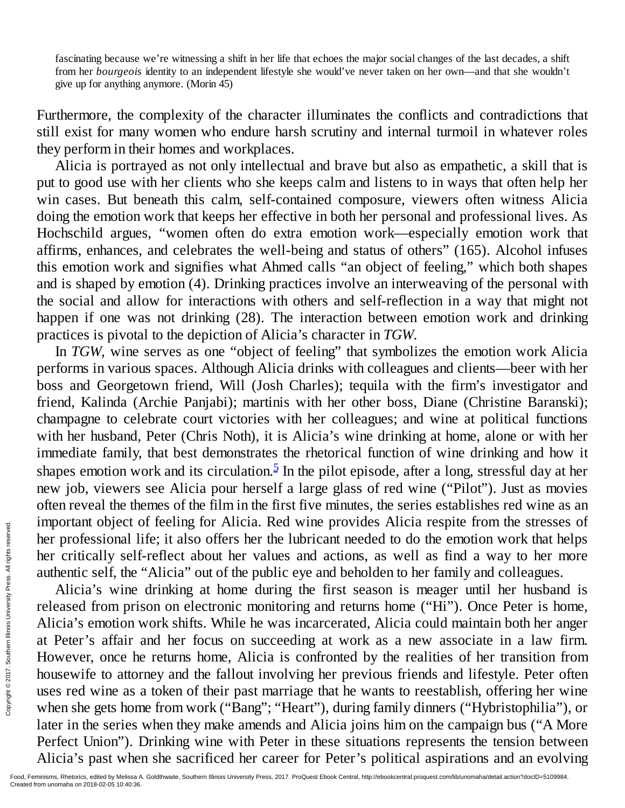fascinating because we're witnessing a shift in her life that echoes the major social changes of the last decades, a shift from her *bourgeois* identity to an independent lifestyle she would've never taken on her own—and that she wouldn't give up for anything anymore. (Morin 45)

Furthermore, the complexity of the character illuminates the conflicts and contradictions that still exist for many women who endure harsh scrutiny and internal turmoil in whatever roles they perform in their homes and workplaces.

Alicia is portrayed as not only intellectual and brave but also as empathetic, a skill that is put to good use with her clients who she keeps calm and listens to in ways that often help her win cases. But beneath this calm, self-contained composure, viewers often witness Alicia doing the emotion work that keeps her effective in both her personal and professional lives. As Hochschild argues, "women often do extra emotion work—especially emotion work that affirms, enhances, and celebrates the well-being and status of others" (165). Alcohol infuses this emotion work and signifies what Ahmed calls "an object of feeling," which both shapes and is shaped by emotion (4). Drinking practices involve an interweaving of the personal with the social and allow for interactions with others and self-reflection in a way that might not happen if one was not drinking (28). The interaction between emotion work and drinking practices is pivotal to the depiction of Alicia's character in *TGW*.

<span id="page-4-0"></span>In *TGW*, wine serves as one "object of feeling" that symbolizes the emotion work Alicia performs in various spaces. Although Alicia drinks with colleagues and clients—beer with her boss and Georgetown friend, Will (Josh Charles); tequila with the firm's investigator and friend, Kalinda (Archie Panjabi); martinis with her other boss, Diane (Christine Baranski); champagne to celebrate court victories with her colleagues; and wine at political functions with her husband, Peter (Chris Noth), it is Alicia's wine drinking at home, alone or with her immediate family, that best demonstrates the rhetorical function of wine drinking and how it shapes emotion work and its circulation.<sup>[5](#page-9-3)</sup> In the pilot episode, after a long, stressful day at her new job, viewers see Alicia pour herself a large glass of red wine ("Pilot"). Just as movies often reveal the themes of the film in the first five minutes, the series establishes red wine as an important object of feeling for Alicia. Red wine provides Alicia respite from the stresses of her professional life; it also offers her the lubricant needed to do the emotion work that helps her critically self-reflect about her values and actions, as well as find a way to her more authentic self, the "Alicia" out of the public eye and beholden to her family and colleagues.

Alicia's wine drinking at home during the first season is meager until her husband is released from prison on electronic monitoring and returns home ("Hi"). Once Peter is home, Alicia's emotion work shifts. While he was incarcerated, Alicia could maintain both her anger at Peter's affair and her focus on succeeding at work as a new associate in a law firm. However, once he returns home, Alicia is confronted by the realities of her transition from housewife to attorney and the fallout involving her previous friends and lifestyle. Peter often uses red wine as a token of their past marriage that he wants to reestablish, offering her wine when she gets home from work ("Bang"; "Heart"), during family dinners ("Hybristophilia"), or later in the series when they make amends and Alicia joins him on the campaign bus ("A More Perfect Union"). Drinking wine with Peter in these situations represents the tension between Alicia's past when she sacrificed her career for Peter's political aspirations and an evolving Experiment Created from unomaha on 2018-02-05 10:40:36. Coested from unomaha on 2018-02-05 10:40:36. Created from unomaha on 2018-02-05 10:40:36. Created from unomaha on 2018-02-05 10:40:36. Created from unomaha on 2018-02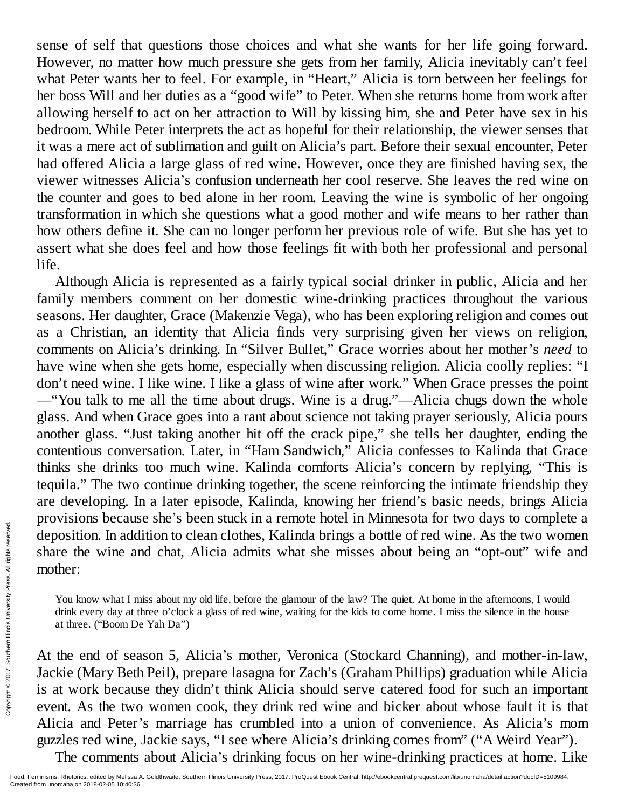sense of self that questions those choices and what she wants for her life going forward. However, no matter how much pressure she gets from her family, Alicia inevitably can't feel what Peter wants her to feel. For example, in "Heart," Alicia is torn between her feelings for her boss Will and her duties as a "good wife" to Peter. When she returns home from work after allowing herself to act on her attraction to Will by kissing him, she and Peter have sex in his bedroom. While Peter interprets the act as hopeful for their relationship, the viewer senses that it was a mere act of sublimation and guilt on Alicia's part. Before their sexual encounter, Peter had offered Alicia a large glass of red wine. However, once they are finished having sex, the viewer witnesses Alicia's confusion underneath her cool reserve. She leaves the red wine on the counter and goes to bed alone in her room. Leaving the wine is symbolic of her ongoing transformation in which she questions what a good mother and wife means to her rather than how others define it. She can no longer perform her previous role of wife. But she has yet to assert what she does feel and how those feelings fit with both her professional and personal life.

Although Alicia is represented as a fairly typical social drinker in public, Alicia and her family members comment on her domestic wine-drinking practices throughout the various seasons. Her daughter, Grace (Makenzie Vega), who has been exploring religion and comes out as a Christian, an identity that Alicia finds very surprising given her views on religion, comments on Alicia's drinking. In "Silver Bullet," Grace worries about her mother's *need* to have wine when she gets home, especially when discussing religion. Alicia coolly replies: "I don't need wine. I like wine. I like a glass of wine after work." When Grace presses the point —"You talk to me all the time about drugs. Wine is a drug."—Alicia chugs down the whole glass. And when Grace goes into a rant about science not taking prayer seriously, Alicia pours another glass. "Just taking another hit off the crack pipe," she tells her daughter, ending the contentious conversation. Later, in "Ham Sandwich," Alicia confesses to Kalinda that Grace thinks she drinks too much wine. Kalinda comforts Alicia's concern by replying, "This is tequila." The two continue drinking together, the scene reinforcing the intimate friendship they are developing. In a later episode, Kalinda, knowing her friend's basic needs, brings Alicia provisions because she's been stuck in a remote hotel in Minnesota for two days to complete a deposition. In addition to clean clothes, Kalinda brings a bottle of red wine. As the two women share the wine and chat, Alicia admits what she misses about being an "opt-out" wife and mother:

You know what I miss about my old life, before the glamour of the law? The quiet. At home in the afternoons, I would drink every day at three o'clock a glass of red wine, waiting for the kids to come home. I miss the silence in the house at three. ("Boom De Yah Da")

At the end of season 5, Alicia's mother, Veronica (Stockard Channing), and mother-in-law, Jackie (Mary Beth Peil), prepare lasagna for Zach's (Graham Phillips) graduation while Alicia is at work because they didn't think Alicia should serve catered food for such an important event. As the two women cook, they drink red wine and bicker about whose fault it is that Alicia and Peter's marriage has crumbled into a union of convenience. As Alicia's mom guzzles red wine, Jackie says, "I see where Alicia's drinking comes from" ("A Weird Year"). Expression. In add<br>
Share the wine are<br>
mother:<br>
From De dink every day at d<br>
at three. ("Boom De<br>
state of Sea<br>
Jackie (Mary Beth<br>
is at work becaus<br>
event. As the two<br>
Alicia and Peter'<br>
guzzles red wine,<br>
The comments<br>

The comments about Alicia's drinking focus on her wine-drinking practices at home. Like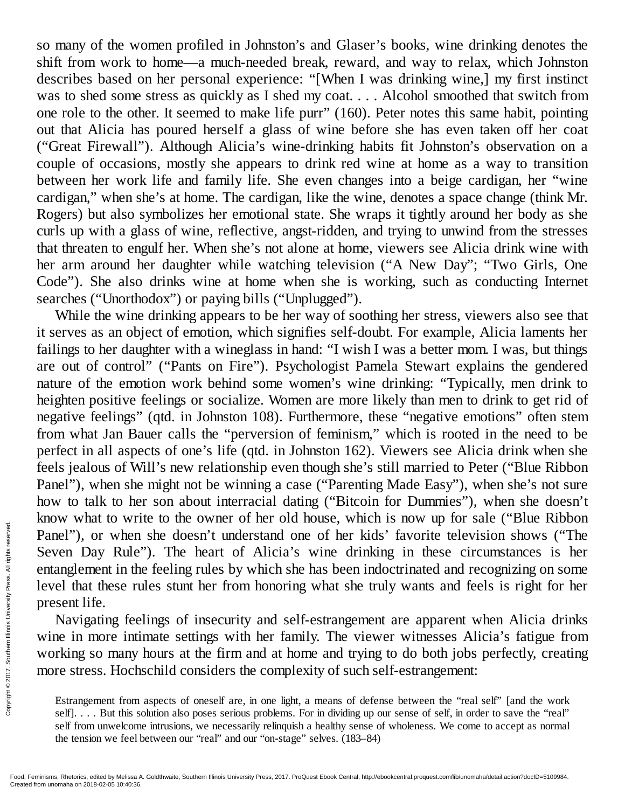so many of the women profiled in Johnston's and Glaser's books, wine drinking denotes the shift from work to home—a much-needed break, reward, and way to relax, which Johnston describes based on her personal experience: "[When I was drinking wine,] my first instinct was to shed some stress as quickly as I shed my coat. . . . Alcohol smoothed that switch from one role to the other. It seemed to make life purr" (160). Peter notes this same habit, pointing out that Alicia has poured herself a glass of wine before she has even taken off her coat ("Great Firewall"). Although Alicia's wine-drinking habits fit Johnston's observation on a couple of occasions, mostly she appears to drink red wine at home as a way to transition between her work life and family life. She even changes into a beige cardigan, her "wine cardigan," when she's at home. The cardigan, like the wine, denotes a space change (think Mr. Rogers) but also symbolizes her emotional state. She wraps it tightly around her body as she curls up with a glass of wine, reflective, angst-ridden, and trying to unwind from the stresses that threaten to engulf her. When she's not alone at home, viewers see Alicia drink wine with her arm around her daughter while watching television ("A New Day"; "Two Girls, One Code"). She also drinks wine at home when she is working, such as conducting Internet searches ("Unorthodox") or paying bills ("Unplugged").

While the wine drinking appears to be her way of soothing her stress, viewers also see that it serves as an object of emotion, which signifies self-doubt. For example, Alicia laments her failings to her daughter with a wineglass in hand: "I wish I was a better mom. I was, but things are out of control" ("Pants on Fire"). Psychologist Pamela Stewart explains the gendered nature of the emotion work behind some women's wine drinking: "Typically, men drink to heighten positive feelings or socialize. Women are more likely than men to drink to get rid of negative feelings" (qtd. in Johnston 108). Furthermore, these "negative emotions" often stem from what Jan Bauer calls the "perversion of feminism," which is rooted in the need to be perfect in all aspects of one's life (qtd. in Johnston 162). Viewers see Alicia drink when she feels jealous of Will's new relationship even though she's still married to Peter ("Blue Ribbon Panel"), when she might not be winning a case ("Parenting Made Easy"), when she's not sure how to talk to her son about interracial dating ("Bitcoin for Dummies"), when she doesn't know what to write to the owner of her old house, which is now up for sale ("Blue Ribbon Panel"), or when she doesn't understand one of her kids' favorite television shows ("The Seven Day Rule"). The heart of Alicia's wine drinking in these circumstances is her entanglement in the feeling rules by which she has been indoctrinated and recognizing on some level that these rules stunt her from honoring what she truly wants and feels is right for her present life. Example 11:00 November 2018-02-03<br>
From Seven Day Rule<br>
entanglement in the level that these runders<br>
From Present life. Navigating fee<br>
wine in more inti<br>
working so many<br>
more stress. Hoch<br>
Estrangement from<br>
self  $\ldots$ 

Navigating feelings of insecurity and self-estrangement are apparent when Alicia drinks wine in more intimate settings with her family. The viewer witnesses Alicia's fatigue from working so many hours at the firm and at home and trying to do both jobs perfectly, creating more stress. Hochschild considers the complexity of such self-estrangement:

Estrangement from aspects of oneself are, in one light, a means of defense between the "real self" [and the work self]. . . . But this solution also poses serious problems. For in dividing up our sense of self, in order to save the "real" self from unwelcome intrusions, we necessarily relinquish a healthy sense of wholeness. We come to accept as normal the tension we feel between our "real" and our "on-stage" selves. (183–84)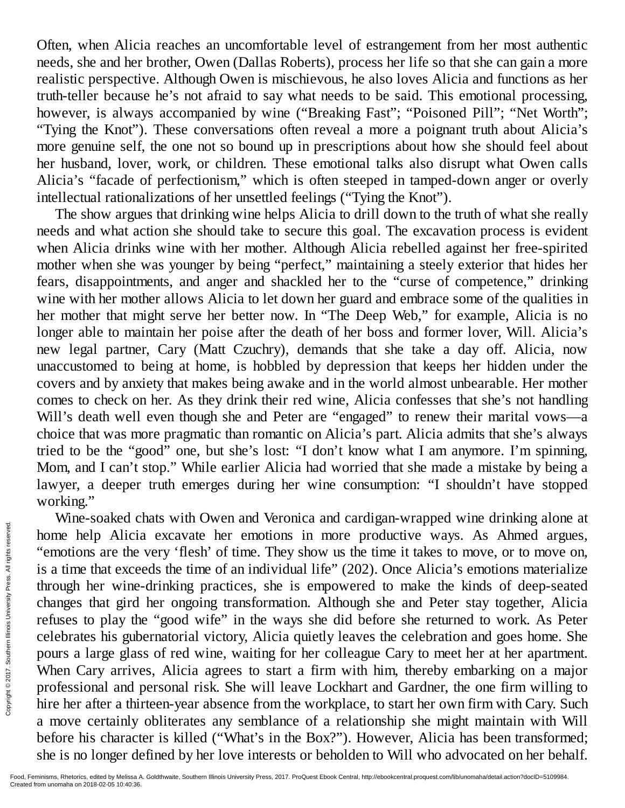Often, when Alicia reaches an uncomfortable level of estrangement from her most authentic needs, she and her brother, Owen (Dallas Roberts), process her life so that she can gain a more realistic perspective. Although Owen is mischievous, he also loves Alicia and functions as her truth-teller because he's not afraid to say what needs to be said. This emotional processing, however, is always accompanied by wine ("Breaking Fast"; "Poisoned Pill"; "Net Worth"; "Tying the Knot"). These conversations often reveal a more a poignant truth about Alicia's more genuine self, the one not so bound up in prescriptions about how she should feel about her husband, lover, work, or children. These emotional talks also disrupt what Owen calls Alicia's "facade of perfectionism," which is often steeped in tamped-down anger or overly intellectual rationalizations of her unsettled feelings ("Tying the Knot").

The show argues that drinking wine helps Alicia to drill down to the truth of what she really needs and what action she should take to secure this goal. The excavation process is evident when Alicia drinks wine with her mother. Although Alicia rebelled against her free-spirited mother when she was younger by being "perfect," maintaining a steely exterior that hides her fears, disappointments, and anger and shackled her to the "curse of competence," drinking wine with her mother allows Alicia to let down her guard and embrace some of the qualities in her mother that might serve her better now. In "The Deep Web," for example, Alicia is no longer able to maintain her poise after the death of her boss and former lover, Will. Alicia's new legal partner, Cary (Matt Czuchry), demands that she take a day off. Alicia, now unaccustomed to being at home, is hobbled by depression that keeps her hidden under the covers and by anxiety that makes being awake and in the world almost unbearable. Her mother comes to check on her. As they drink their red wine, Alicia confesses that she's not handling Will's death well even though she and Peter are "engaged" to renew their marital vows—a choice that was more pragmatic than romantic on Alicia's part. Alicia admits that she's always tried to be the "good" one, but she's lost: "I don't know what I am anymore. I'm spinning, Mom, and I can't stop." While earlier Alicia had worried that she made a mistake by being a lawyer, a deeper truth emerges during her wine consumption: "I shouldn't have stopped working."

Wine-soaked chats with Owen and Veronica and cardigan-wrapped wine drinking alone at home help Alicia excavate her emotions in more productive ways. As Ahmed argues, "emotions are the very 'flesh' of time. They show us the time it takes to move, or to move on, is a time that exceeds the time of an individual life" (202). Once Alicia's emotions materialize through her wine-drinking practices, she is empowered to make the kinds of deep-seated changes that gird her ongoing transformation. Although she and Peter stay together, Alicia refuses to play the "good wife" in the ways she did before she returned to work. As Peter celebrates his gubernatorial victory, Alicia quietly leaves the celebration and goes home. She pours a large glass of red wine, waiting for her colleague Cary to meet her at her apartment. When Cary arrives, Alicia agrees to start a firm with him, thereby embarking on a major professional and personal risk. She will leave Lockhart and Gardner, the one firm willing to hire her after a thirteen-year absence from the workplace, to start her own firm with Cary. Such a move certainly obliterates any semblance of a relationship she might maintain with Will before his character is killed ("What's in the Box?"). However, Alicia has been transformed; she is no longer defined by her love interests or beholden to Will who advocated on her behalf. From the southern in the set of the set of the set of the set of the changes that gird refuses to play the celebrates his gub pours a large glas When Cary arrivers is the set of the certainly before his charact she is no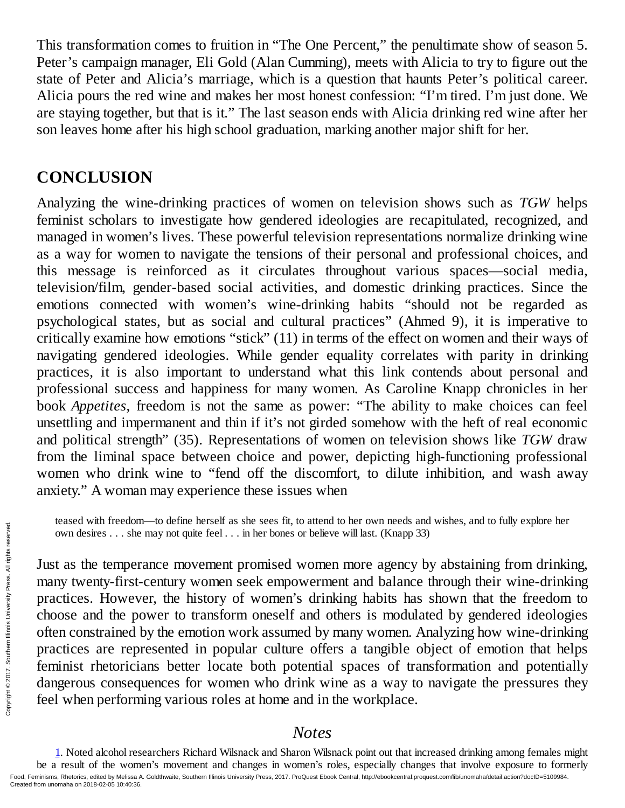This transformation comes to fruition in "The One Percent," the penultimate show of season 5. Peter's campaign manager, Eli Gold (Alan Cumming), meets with Alicia to try to figure out the state of Peter and Alicia's marriage, which is a question that haunts Peter's political career. Alicia pours the red wine and makes her most honest confession: "I'm tired. I'm just done. We are staying together, but that is it." The last season ends with Alicia drinking red wine after her son leaves home after his high school graduation, marking another major shift for her.

# **CONCLUSION**

Analyzing the wine-drinking practices of women on television shows such as *TGW* helps feminist scholars to investigate how gendered ideologies are recapitulated, recognized, and managed in women's lives. These powerful television representations normalize drinking wine as a way for women to navigate the tensions of their personal and professional choices, and this message is reinforced as it circulates throughout various spaces—social media, television/film, gender-based social activities, and domestic drinking practices. Since the emotions connected with women's wine-drinking habits "should not be regarded as psychological states, but as social and cultural practices" (Ahmed 9), it is imperative to critically examine how emotions "stick" (11) in terms of the effect on women and their ways of navigating gendered ideologies. While gender equality correlates with parity in drinking practices, it is also important to understand what this link contends about personal and professional success and happiness for many women. As Caroline Knapp chronicles in her book *Appetites*, freedom is not the same as power: "The ability to make choices can feel unsettling and impermanent and thin if it's not girded somehow with the heft of real economic and political strength" (35). Representations of women on television shows like *TGW* draw from the liminal space between choice and power, depicting high-functioning professional women who drink wine to "fend off the discomfort, to dilute inhibition, and wash away anxiety." A woman may experience these issues when

teased with freedom—to define herself as she sees fit, to attend to her own needs and wishes, and to fully explore her own desires . . . she may not quite feel . . . in her bones or believe will last. (Knapp 33)

Just as the temperance movement promised women more agency by abstaining from drinking, many twenty-first-century women seek empowerment and balance through their wine-drinking practices. However, the history of women's drinking habits has shown that the freedom to choose and the power to transform oneself and others is modulated by gendered ideologies often constrained by the emotion work assumed by many women. Analyzing how wine-drinking practices are represented in popular culture offers a tangible object of emotion that helps feminist rhetoricians better locate both potential spaces of transformation and potentially dangerous consequences for women who drink wine as a way to navigate the pressures they feel when performing various roles at home and in the workplace. Exact With Heedon<br>
Exact With Heedon<br>
Exact Comparison<br>
Southern Constrained D<br>
Directices. Howev<br>
choose and the po<br>
often constrained D<br>
practices are repl<br>
feminist rhetoricia<br>
dangerous conseq<br>
feel when perform<br>
feed

### *Notes*

<span id="page-8-0"></span>[1](#page-0-0). Noted alcohol researchers Richard Wilsnack and Sharon Wilsnack point out that increased drinking among females might be a result of the women's movement and changes in women's roles, especially changes that involve exposure to formerly Food, Feminisms, Rhetorics, edited by Melissa A. Goldthwaite, Southern Illinois University Press, 2017. ProQuest Ebook Central, http://ebookcentral.proquest.com/lib/unomaha/detail.action?docID=5109984.<br>Created from unomaha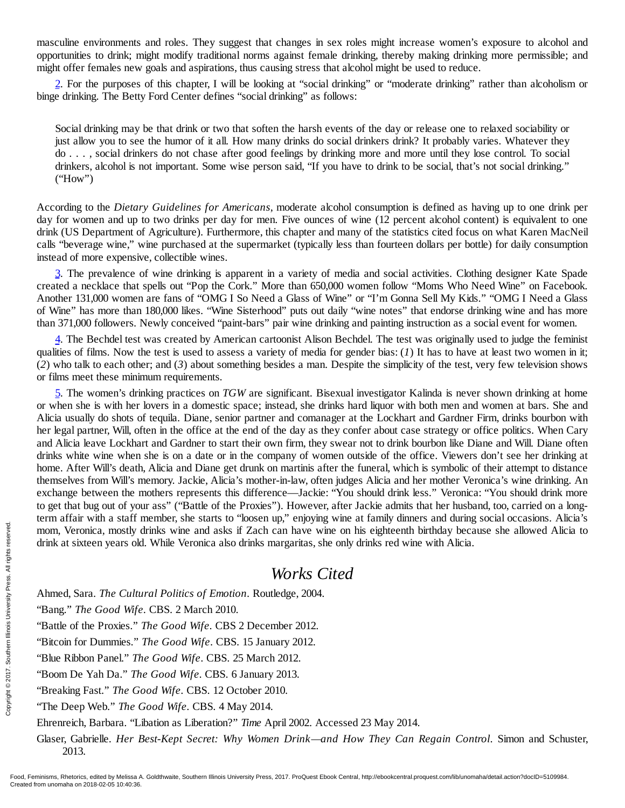masculine environments and roles. They suggest that changes in sex roles might increase women's exposure to alcohol and opportunities to drink; might modify traditional norms against female drinking, thereby making drinking more permissible; and might offer females new goals and aspirations, thus causing stress that alcohol might be used to reduce.

<span id="page-9-0"></span>[2](#page-0-1). For the purposes of this chapter, I will be looking at "social drinking" or "moderate drinking" rather than alcoholism or binge drinking. The Betty Ford Center defines "social drinking" as follows:

Social drinking may be that drink or two that soften the harsh events of the day or release one to relaxed sociability or just allow you to see the humor of it all. How many drinks do social drinkers drink? It probably varies. Whatever they do . . . , social drinkers do not chase after good feelings by drinking more and more until they lose control. To social drinkers, alcohol is not important. Some wise person said, "If you have to drink to be social, that's not social drinking." ("How")

According to the *Dietary Guidelines for Americans*, moderate alcohol consumption is defined as having up to one drink per day for women and up to two drinks per day for men. Five ounces of wine (12 percent alcohol content) is equivalent to one drink (US Department of Agriculture). Furthermore, this chapter and many of the statistics cited focus on what Karen MacNeil calls "beverage wine," wine purchased at the supermarket (typically less than fourteen dollars per bottle) for daily consumption instead of more expensive, collectible wines.

<span id="page-9-1"></span>[3](#page-0-2). The prevalence of wine drinking is apparent in a variety of media and social activities. Clothing designer Kate Spade created a necklace that spells out "Pop the Cork." More than 650,000 women follow "Moms Who Need Wine" on Facebook. Another 131,000 women are fans of "OMG I So Need a Glass of Wine" or "I'm Gonna Sell My Kids." "OMG I Need a Glass of Wine" has more than 180,000 likes. "Wine Sisterhood" puts out daily "wine notes" that endorse drinking wine and has more than 371,000 followers. Newly conceived "paint-bars" pair wine drinking and painting instruction as a social event for women.

<span id="page-9-2"></span>[4](#page-1-0). The Bechdel test was created by American cartoonist Alison Bechdel. The test was originally used to judge the feminist qualities of films. Now the test is used to assess a variety of media for gender bias: (*1*) It has to have at least two women in it; (*2*) who talk to each other; and (*3*) about something besides a man. Despite the simplicity of the test, very few television shows or films meet these minimum requirements.

<span id="page-9-3"></span>[5](#page-4-0). The women's drinking practices on *TGW* are significant. Bisexual investigator Kalinda is never shown drinking at home or when she is with her lovers in a domestic space; instead, she drinks hard liquor with both men and women at bars. She and Alicia usually do shots of tequila. Diane, senior partner and comanager at the Lockhart and Gardner Firm, drinks bourbon with her legal partner, Will, often in the office at the end of the day as they confer about case strategy or office politics. When Cary and Alicia leave Lockhart and Gardner to start their own firm, they swear not to drink bourbon like Diane and Will. Diane often drinks white wine when she is on a date or in the company of women outside of the office. Viewers don't see her drinking at home. After Will's death, Alicia and Diane get drunk on martinis after the funeral, which is symbolic of their attempt to distance themselves from Will's memory. Jackie, Alicia's mother-in-law, often judges Alicia and her mother Veronica's wine drinking. An exchange between the mothers represents this difference—Jackie: "You should drink less." Veronica: "You should drink more to get that bug out of your ass" ("Battle of the Proxies"). However, after Jackie admits that her husband, too, carried on a longterm affair with a staff member, she starts to "loosen up," enjoying wine at family dinners and during social occasions. Alicia's mom, Veronica, mostly drinks wine and asks if Zach can have wine on his eighteenth birthday because she allowed Alicia to drink at sixteen years old. While Veronica also drinks margaritas, she only drinks red wine with Alicia. Example 12: The Good Wife<br>
Example 2018<br>
Example 2018<br>
The Good Wife<br>
"Bang." The Good Wife<br>
"Battle of the Proxies."<br>
"Bitcoin for Dummies."<br>
"Blue Ribbon Panel." The "Breaking Fast." The Good<br>
"Breaking Fast." The Good<br>

#### *Works Cited*

Ahmed, Sara. *The Cultural Politics of Emotion*. Routledge, 2004.

"Bang." *The Good Wife*. CBS. 2 March 2010.

"Battle of the Proxies." *The Good Wife*. CBS 2 December 2012.

"Bitcoin for Dummies." *The Good Wife*. CBS. 15 January 2012.

"Blue Ribbon Panel." *The Good Wife*. CBS. 25 March 2012.

"Boom De Yah Da." *The Good Wife*. CBS. 6 January 2013.

"Breaking Fast." *The Good Wife*. CBS. 12 October 2010.

"The Deep Web." *The Good Wife*. CBS. 4 May 2014.

Ehrenreich, Barbara. "Libation as Liberation?" *Time* April 2002. Accessed 23 May 2014.

Glaser, Gabrielle. *Her Best-Kept Secret: Why Women Drink—and How They Can Regain Control*. Simon and Schuster, 2013.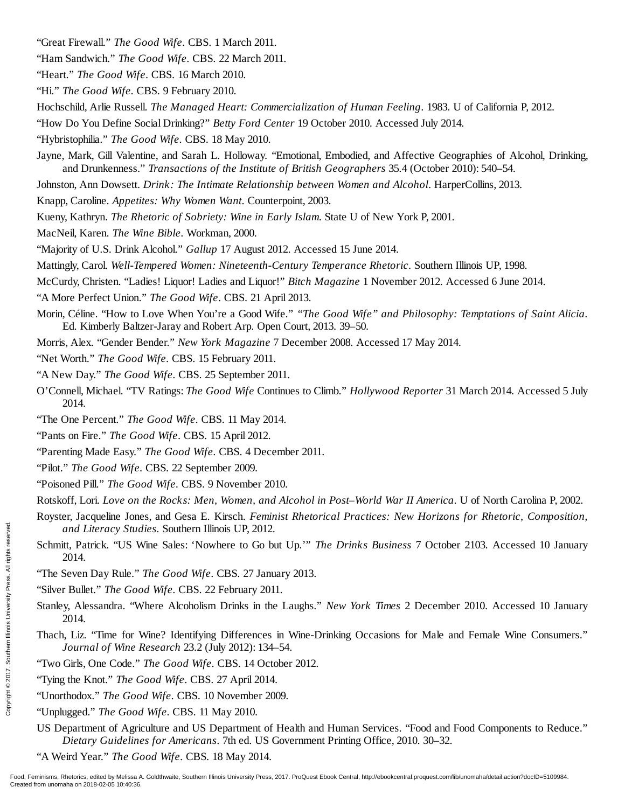"Great Firewall." *The Good Wife*. CBS. 1 March 2011.

"Ham Sandwich." *The Good Wife*. CBS. 22 March 2011.

"Heart." *The Good Wife*. CBS. 16 March 2010.

"Hi." *The Good Wife*. CBS. 9 February 2010.

- Hochschild, Arlie Russell. *The Managed Heart: Commercialization of Human Feeling*. 1983. U of California P, 2012.
- "How Do You Define Social Drinking?" *Betty Ford Center* 19 October 2010. Accessed July 2014.

"Hybristophilia." *The Good Wife*. CBS. 18 May 2010.

- Jayne, Mark, Gill Valentine, and Sarah L. Holloway. "Emotional, Embodied, and Affective Geographies of Alcohol, Drinking, and Drunkenness." *Transactions of the Institute of British Geographers* 35.4 (October 2010): 540–54.
- Johnston, Ann Dowsett. *Drink: The Intimate Relationship between Women and Alcohol*. HarperCollins, 2013.
- Knapp, Caroline. *Appetites: Why Women Want*. Counterpoint, 2003.
- Kueny, Kathryn. *The Rhetoric of Sobriety: Wine in Early Islam*. State U of New York P, 2001.
- MacNeil, Karen. *The Wine Bible*. Workman, 2000.
- "Majority of U.S. Drink Alcohol." *Gallup* 17 August 2012. Accessed 15 June 2014.
- Mattingly, Carol. *Well-Tempered Women: Nineteenth-Century Temperance Rhetoric*. Southern Illinois UP, 1998.
- McCurdy, Christen. "Ladies! Liquor! Ladies and Liquor!" *Bitch Magazine* 1 November 2012. Accessed 6 June 2014.

"A More Perfect Union." *The Good Wife*. CBS. 21 April 2013.

- Morin, Céline. "How to Love When You're a Good Wife." *"The Good Wife" and Philosophy: Temptations of Saint Alicia*. Ed. Kimberly Baltzer-Jaray and Robert Arp. Open Court, 2013. 39–50.
- Morris, Alex. "Gender Bender." *New York Magazine* 7 December 2008. Accessed 17 May 2014.
- "Net Worth." *The Good Wife*. CBS. 15 February 2011.
- "A New Day." *The Good Wife*. CBS. 25 September 2011.
- O'Connell, Michael. "TV Ratings: *The Good Wife* Continues to Climb." *Hollywood Reporter* 31 March 2014. Accessed 5 July 2014.
- "The One Percent." *The Good Wife*. CBS. 11 May 2014.

"Pants on Fire." *The Good Wife*. CBS. 15 April 2012.

"Parenting Made Easy." *The Good Wife*. CBS. 4 December 2011.

- "Pilot." *The Good Wife*. CBS. 22 September 2009.
- "Poisoned Pill." *The Good Wife*. CBS. 9 November 2010.

Rotskoff, Lori. *Love on the Rocks: Men, Women, and Alcohol in Post–World War II America*. U of North Carolina P, 2002.

- Royster, Jacqueline Jones, and Gesa E. Kirsch. *Feminist Rhetorical Practices: New Horizons for Rhetoric, Composition, and Literacy Studies*. Southern Illinois UP, 2012.
- Schmitt, Patrick. "US Wine Sales: 'Nowhere to Go but Up.'" *The Drinks Business* 7 October 2103. Accessed 10 January 2014.
- "The Seven Day Rule." *The Good Wife*. CBS. 27 January 2013.
- "Silver Bullet." *The Good Wife*. CBS. 22 February 2011.
- Stanley, Alessandra. "Where Alcoholism Drinks in the Laughs." *New York Times* 2 December 2010. Accessed 10 January 2014. Erection and Literacy Stude<br>
Schmitt, Patrick. "US V<br>
2014.<br>
The Seven Day Rule."<br>
Silver Bullet." *The God*<br>
Stanley, Alessandra. "W<br>
2014.<br>
Thach, Liz. "Time for V<br> *Journal of Wine I*<br>
"Two Girls, One Code."<br>
"Tying the
	- Thach, Liz. "Time for Wine? Identifying Differences in Wine-Drinking Occasions for Male and Female Wine Consumers." *Journal of Wine Research* 23.2 (July 2012): 134–54.
	- "Two Girls, One Code." *The Good Wife*. CBS. 14 October 2012.
	- "Tying the Knot." *The Good Wife*. CBS. 27 April 2014.
	- "Unorthodox." *The Good Wife*. CBS. 10 November 2009.
	- "Unplugged." *The Good Wife*. CBS. 11 May 2010.
	- US Department of Agriculture and US Department of Health and Human Services. "Food and Food Components to Reduce." *Dietary Guidelines for Americans*. 7th ed. US Government Printing Office, 2010. 30–32.
	- "A Weird Year." *The Good Wife*. CBS. 18 May 2014.